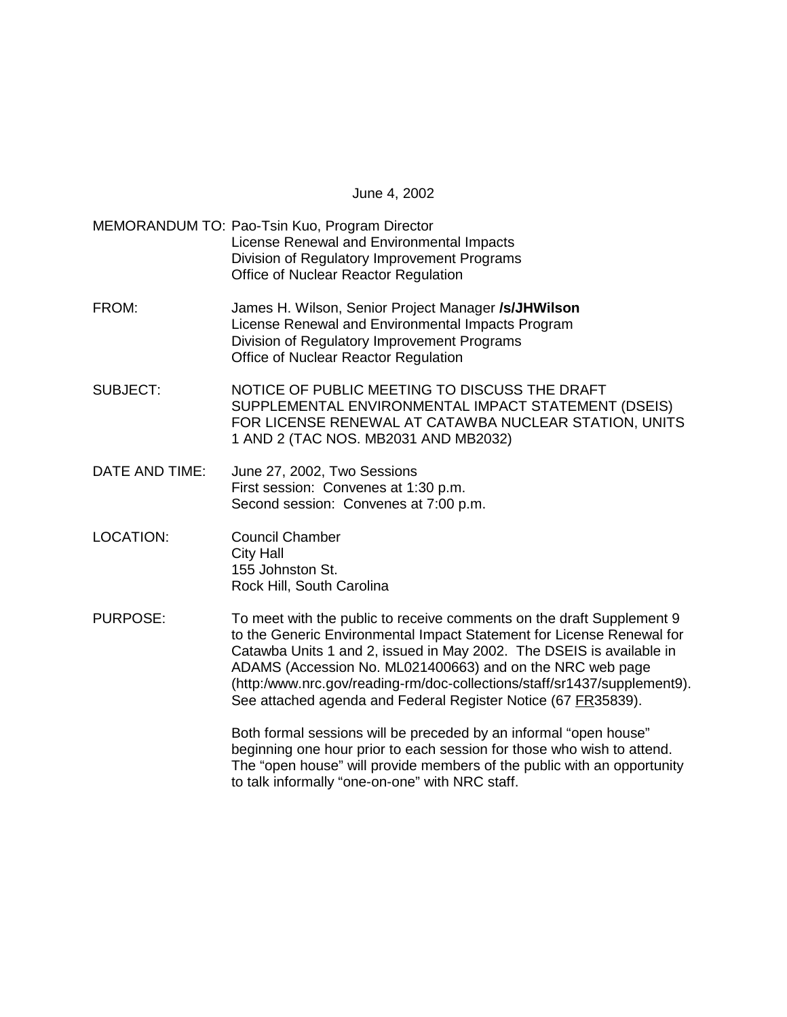June 4, 2002

MEMORANDUM TO: Pao-Tsin Kuo, Program Director License Renewal and Environmental Impacts Division of Regulatory Improvement Programs Office of Nuclear Reactor Regulation

- FROM: James H. Wilson, Senior Project Manager **/s/JHWilson** License Renewal and Environmental Impacts Program Division of Regulatory Improvement Programs Office of Nuclear Reactor Regulation
- SUBJECT: NOTICE OF PUBLIC MEETING TO DISCUSS THE DRAFT SUPPLEMENTAL ENVIRONMENTAL IMPACT STATEMENT (DSEIS) FOR LICENSE RENEWAL AT CATAWBA NUCLEAR STATION, UNITS 1 AND 2 (TAC NOS. MB2031 AND MB2032)
- DATE AND TIME: June 27, 2002, Two Sessions First session: Convenes at 1:30 p.m. Second session: Convenes at 7:00 p.m.
- LOCATION: Council Chamber City Hall 155 Johnston St. Rock Hill, South Carolina

PURPOSE: To meet with the public to receive comments on the draft Supplement 9 to the Generic Environmental Impact Statement for License Renewal for Catawba Units 1 and 2, issued in May 2002. The DSEIS is available in ADAMS (Accession No. ML021400663) and on the NRC web page (http:/www.nrc.gov/reading-rm/doc-collections/staff/sr1437/supplement9). See attached agenda and Federal Register Notice (67 FR35839).

> Both formal sessions will be preceded by an informal "open house" beginning one hour prior to each session for those who wish to attend. The "open house" will provide members of the public with an opportunity to talk informally "one-on-one" with NRC staff.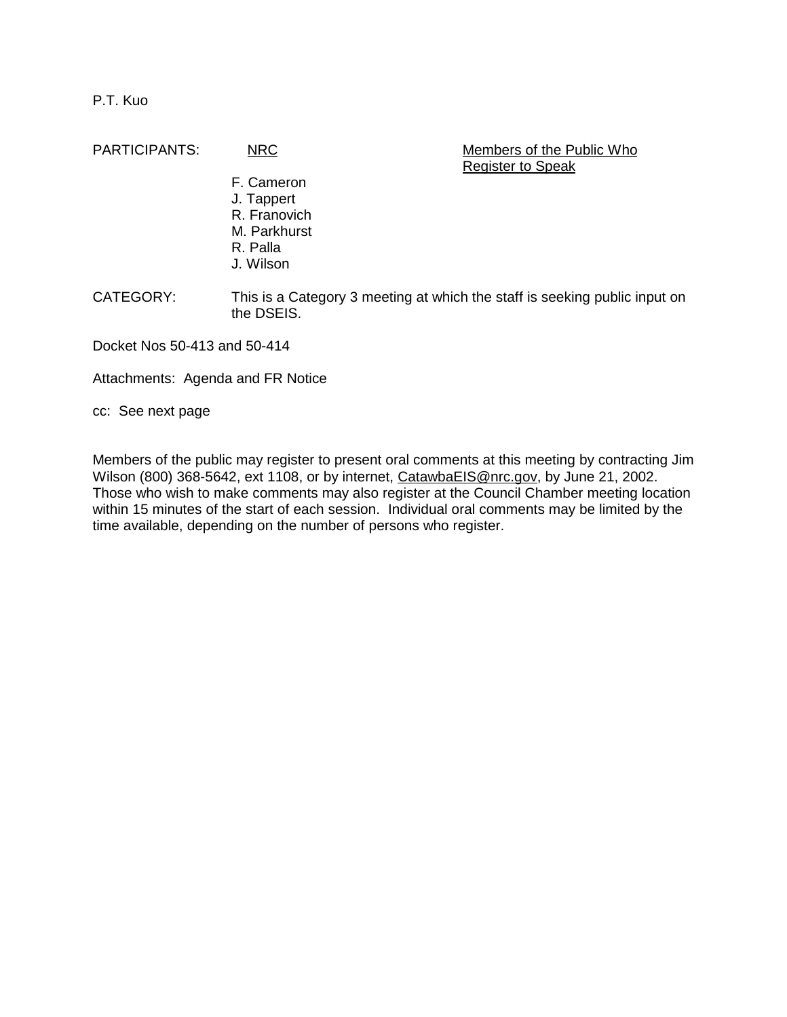P.T. Kuo

PARTICIPANTS: NRC NRC Members of the Public Who

Register to Speak

 F. Cameron J. Tappert R. Franovich M. Parkhurst R. Palla J. Wilson

CATEGORY: This is a Category 3 meeting at which the staff is seeking public input on the DSEIS.

Docket Nos 50-413 and 50-414

Attachments: Agenda and FR Notice

cc: See next page

Members of the public may register to present oral comments at this meeting by contracting Jim Wilson (800) 368-5642, ext 1108, or by internet, CatawbaEIS@nrc.gov, by June 21, 2002. Those who wish to make comments may also register at the Council Chamber meeting location within 15 minutes of the start of each session. Individual oral comments may be limited by the time available, depending on the number of persons who register.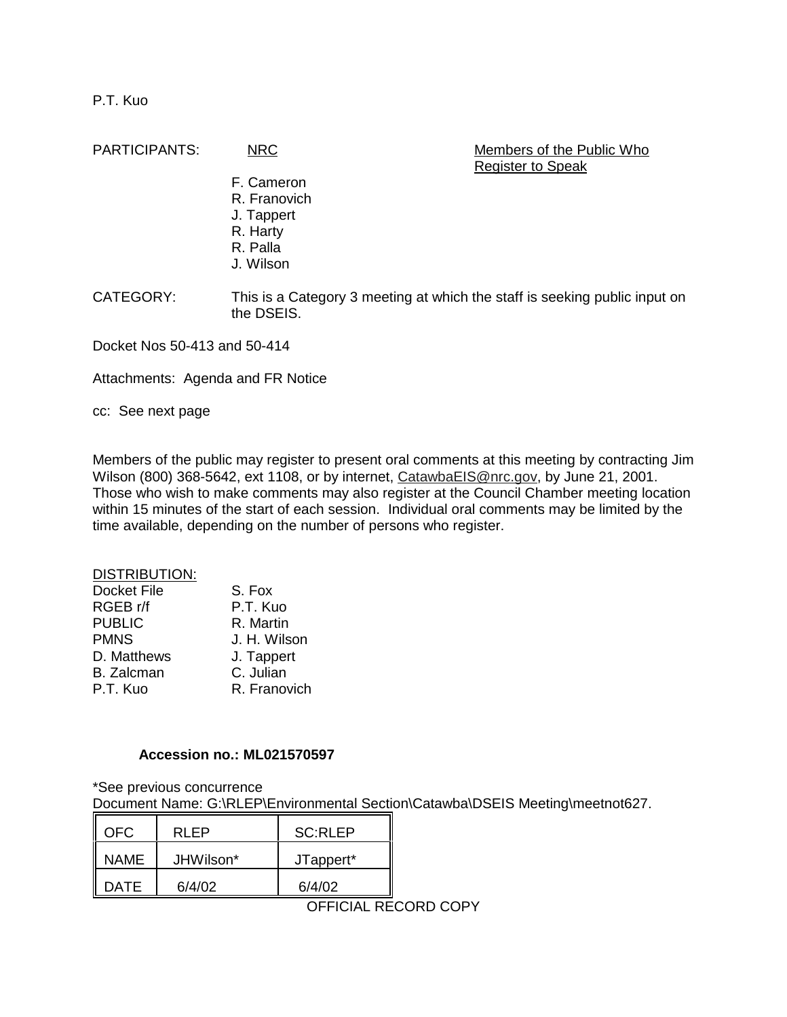P.T. Kuo

PARTICIPANTS: NRC Members of the Public Who Register to Speak

> F. Cameron R. Franovich J. Tappert R. Harty R. Palla J. Wilson

CATEGORY: This is a Category 3 meeting at which the staff is seeking public input on the DSEIS.

Docket Nos 50-413 and 50-414

Attachments: Agenda and FR Notice

cc: See next page

Members of the public may register to present oral comments at this meeting by contracting Jim Wilson (800) 368-5642, ext 1108, or by internet, CatawbaEIS@nrc.gov, by June 21, 2001. Those who wish to make comments may also register at the Council Chamber meeting location within 15 minutes of the start of each session. Individual oral comments may be limited by the time available, depending on the number of persons who register.

### DISTRIBUTION:

| S. Fox       |
|--------------|
| P.T. Kuo     |
| R. Martin    |
| J. H. Wilson |
| J. Tappert   |
| C. Julian    |
| R. Franovich |
|              |

### **Accession no.: ML021570597**

\*See previous concurrence

Document Name: G:\RLEP\Environmental Section\Catawba\DSEIS Meeting\meetnot627.

| WEC. | RI FP     | $SC \cdot RI$ FP |
|------|-----------|------------------|
| NAME | JHWilson* | JTappert*        |
| DATF | 6/4/02    | 6/4/02           |

OFFICIAL RECORD COPY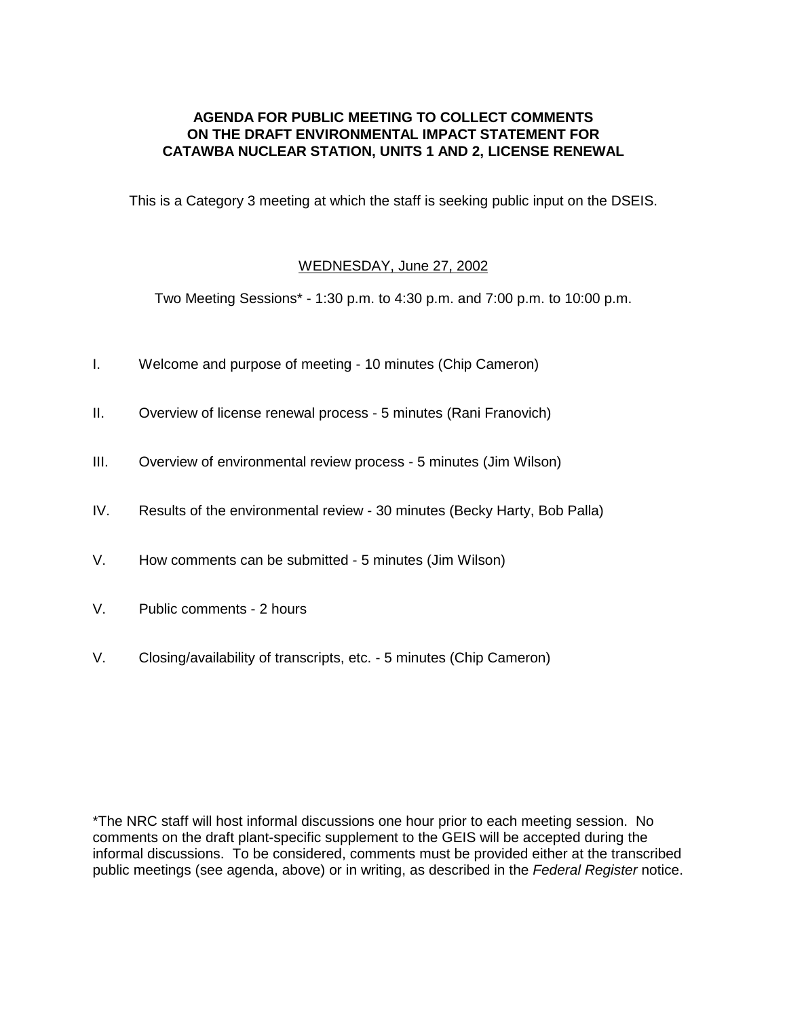## **AGENDA FOR PUBLIC MEETING TO COLLECT COMMENTS ON THE DRAFT ENVIRONMENTAL IMPACT STATEMENT FOR CATAWBA NUCLEAR STATION, UNITS 1 AND 2, LICENSE RENEWAL**

This is a Category 3 meeting at which the staff is seeking public input on the DSEIS.

# WEDNESDAY, June 27, 2002

Two Meeting Sessions\* - 1:30 p.m. to 4:30 p.m. and 7:00 p.m. to 10:00 p.m.

- I. Welcome and purpose of meeting 10 minutes (Chip Cameron)
- II. Overview of license renewal process 5 minutes (Rani Franovich)
- III. Overview of environmental review process 5 minutes (Jim Wilson)
- IV. Results of the environmental review 30 minutes (Becky Harty, Bob Palla)
- V. How comments can be submitted 5 minutes (Jim Wilson)
- V. Public comments 2 hours
- V. Closing/availability of transcripts, etc. 5 minutes (Chip Cameron)

\*The NRC staff will host informal discussions one hour prior to each meeting session. No comments on the draft plant-specific supplement to the GEIS will be accepted during the informal discussions. To be considered, comments must be provided either at the transcribed public meetings (see agenda, above) or in writing, as described in the Federal Register notice.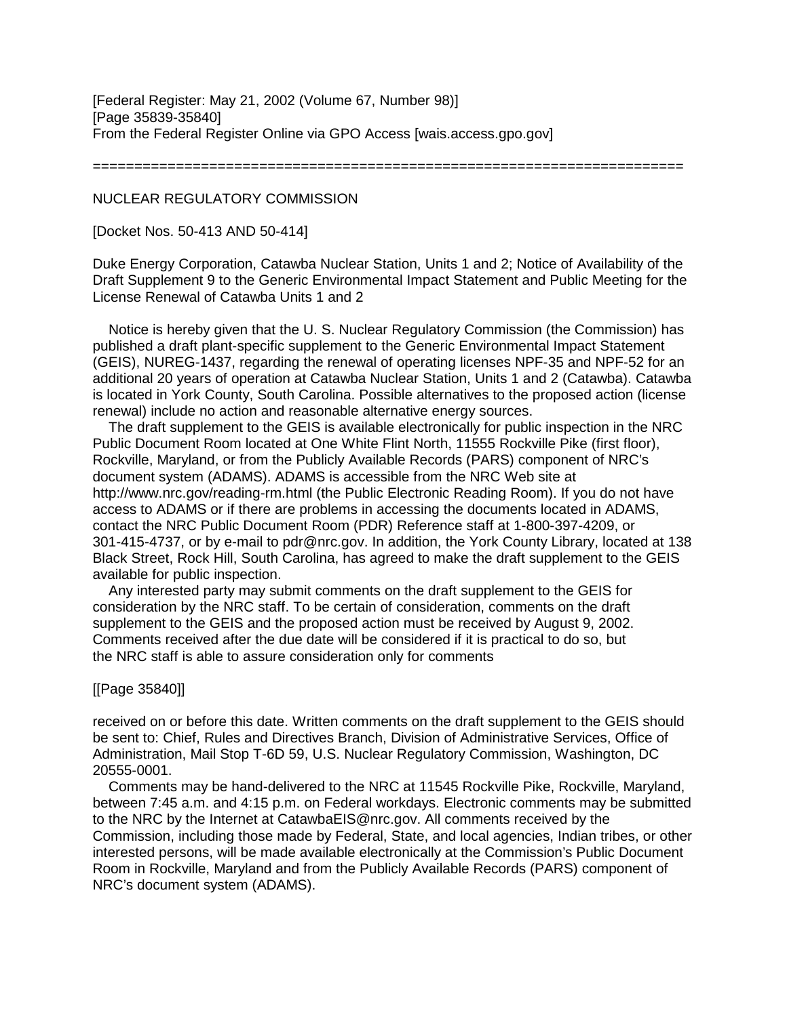=======================================================================

## NUCLEAR REGULATORY COMMISSION

[Docket Nos. 50-413 AND 50-414]

Duke Energy Corporation, Catawba Nuclear Station, Units 1 and 2; Notice of Availability of the Draft Supplement 9 to the Generic Environmental Impact Statement and Public Meeting for the License Renewal of Catawba Units 1 and 2

 Notice is hereby given that the U. S. Nuclear Regulatory Commission (the Commission) has published a draft plant-specific supplement to the Generic Environmental Impact Statement (GEIS), NUREG-1437, regarding the renewal of operating licenses NPF-35 and NPF-52 for an additional 20 years of operation at Catawba Nuclear Station, Units 1 and 2 (Catawba). Catawba is located in York County, South Carolina. Possible alternatives to the proposed action (license renewal) include no action and reasonable alternative energy sources.

 The draft supplement to the GEIS is available electronically for public inspection in the NRC Public Document Room located at One White Flint North, 11555 Rockville Pike (first floor), Rockville, Maryland, or from the Publicly Available Records (PARS) component of NRC's document system (ADAMS). ADAMS is accessible from the NRC Web site at http://www.nrc.gov/reading-rm.html (the Public Electronic Reading Room). If you do not have access to ADAMS or if there are problems in accessing the documents located in ADAMS, contact the NRC Public Document Room (PDR) Reference staff at 1-800-397-4209, or 301-415-4737, or by e-mail to pdr@nrc.gov. In addition, the York County Library, located at 138 Black Street, Rock Hill, South Carolina, has agreed to make the draft supplement to the GEIS available for public inspection.

 Any interested party may submit comments on the draft supplement to the GEIS for consideration by the NRC staff. To be certain of consideration, comments on the draft supplement to the GEIS and the proposed action must be received by August 9, 2002. Comments received after the due date will be considered if it is practical to do so, but the NRC staff is able to assure consideration only for comments

#### [[Page 35840]]

received on or before this date. Written comments on the draft supplement to the GEIS should be sent to: Chief, Rules and Directives Branch, Division of Administrative Services, Office of Administration, Mail Stop T-6D 59, U.S. Nuclear Regulatory Commission, Washington, DC 20555-0001.

 Comments may be hand-delivered to the NRC at 11545 Rockville Pike, Rockville, Maryland, between 7:45 a.m. and 4:15 p.m. on Federal workdays. Electronic comments may be submitted to the NRC by the Internet at CatawbaEIS@nrc.gov. All comments received by the Commission, including those made by Federal, State, and local agencies, Indian tribes, or other interested persons, will be made available electronically at the Commission's Public Document Room in Rockville, Maryland and from the Publicly Available Records (PARS) component of NRC's document system (ADAMS).